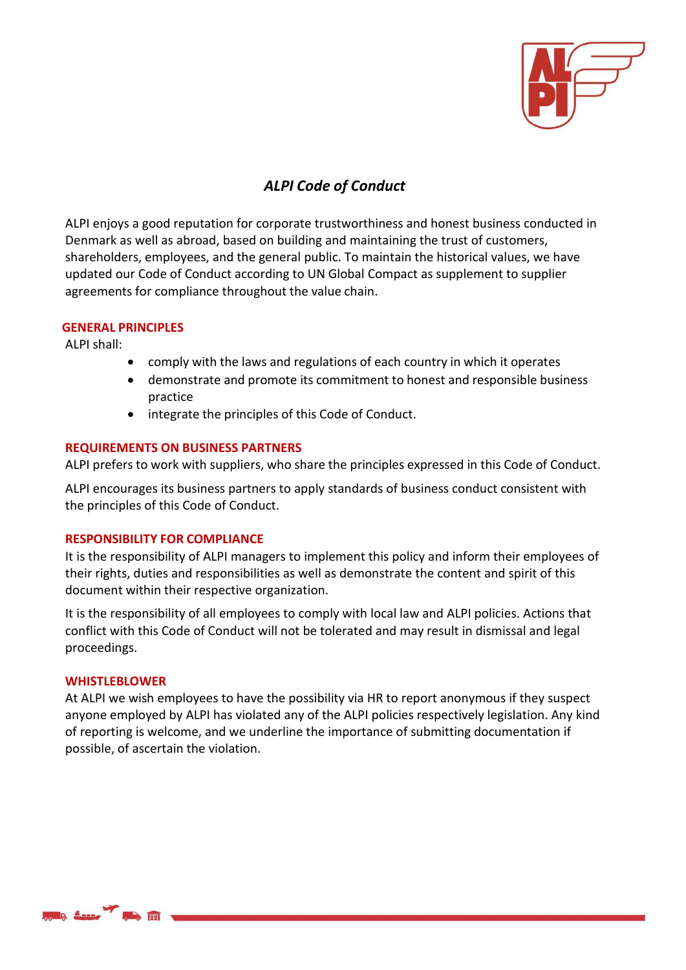

# *ALPI Code of Conduct*

ALPI enjoys a good reputation for corporate trustworthiness and honest business conducted in Denmark as well as abroad, based on building and maintaining the trust of customers, shareholders, employees, and the general public. To maintain the historical values, we have updated our Code of Conduct according to UN Global Compact as supplement to supplier agreements for compliance throughout the value chain.

# **GENERAL PRINCIPLES**

ALPI shall:

- comply with the laws and regulations of each country in which it operates
- demonstrate and promote its commitment to honest and responsible business practice
- integrate the principles of this Code of Conduct.

# **REQUIREMENTS ON BUSINESS PARTNERS**

ALPI prefers to work with suppliers, who share the principles expressed in this Code of Conduct.

ALPI encourages its business partners to apply standards of business conduct consistent with the principles of this Code of Conduct.

# **RESPONSIBILITY FOR COMPLIANCE**

It is the responsibility of ALPI managers to implement this policy and inform their employees of their rights, duties and responsibilities as well as demonstrate the content and spirit of this document within their respective organization.

It is the responsibility of all employees to comply with local law and ALPI policies. Actions that conflict with this Code of Conduct will not be tolerated and may result in dismissal and legal proceedings.

# **WHISTLEBLOWER**

At ALPI we wish employees to have the possibility via HR to report anonymous if they suspect anyone employed by ALPI has violated any of the ALPI policies respectively legislation. Any kind of reporting is welcome, and we underline the importance of submitting documentation if possible, of ascertain the violation.

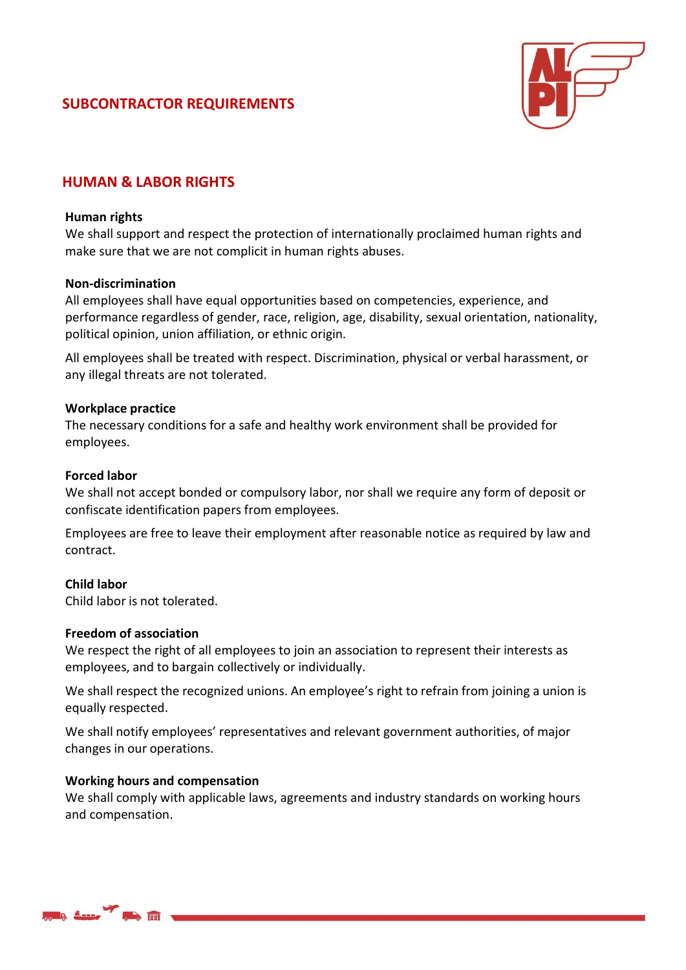# **SUBCONTRACTOR REQUIREMENTS**



# **HUMAN & LABOR RIGHTS**

### **Human rights**

We shall support and respect the protection of internationally proclaimed human rights and make sure that we are not complicit in human rights abuses.

### **Non-discrimination**

All employees shall have equal opportunities based on competencies, experience, and performance regardless of gender, race, religion, age, disability, sexual orientation, nationality, political opinion, union affiliation, or ethnic origin.

All employees shall be treated with respect. Discrimination, physical or verbal harassment, or any illegal threats are not tolerated.

### **Workplace practice**

The necessary conditions for a safe and healthy work environment shall be provided for employees.

### **Forced labor**

We shall not accept bonded or compulsory labor, nor shall we require any form of deposit or confiscate identification papers from employees.

Employees are free to leave their employment after reasonable notice as required by law and contract.

# **Child labor**

Child labor is not tolerated.

#### **Freedom of association**

We respect the right of all employees to join an association to represent their interests as employees, and to bargain collectively or individually.

We shall respect the recognized unions. An employee's right to refrain from joining a union is equally respected.

We shall notify employees' representatives and relevant government authorities, of major changes in our operations.

#### **Working hours and compensation**

We shall comply with applicable laws, agreements and industry standards on working hours and compensation.